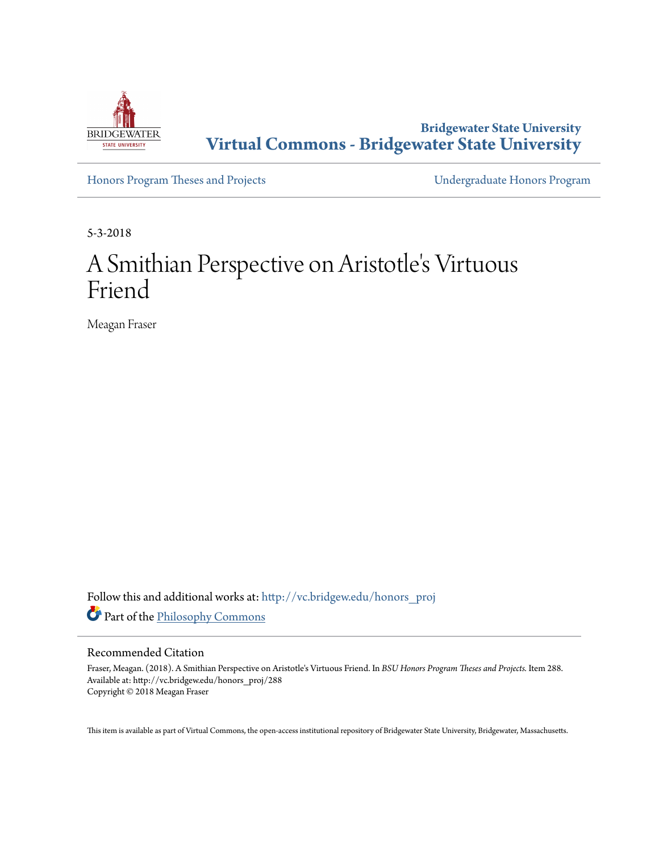

**Bridgewater State University [Virtual Commons - Bridgewater State University](http://vc.bridgew.edu?utm_source=vc.bridgew.edu%2Fhonors_proj%2F288&utm_medium=PDF&utm_campaign=PDFCoverPages)**

[Honors Program Theses and Projects](http://vc.bridgew.edu/honors_proj?utm_source=vc.bridgew.edu%2Fhonors_proj%2F288&utm_medium=PDF&utm_campaign=PDFCoverPages) [Undergraduate Honors Program](http://vc.bridgew.edu/honors?utm_source=vc.bridgew.edu%2Fhonors_proj%2F288&utm_medium=PDF&utm_campaign=PDFCoverPages)

5-3-2018

# A Smithian Perspective on Aristotle's Virtuous Friend

Meagan Fraser

Follow this and additional works at: [http://vc.bridgew.edu/honors\\_proj](http://vc.bridgew.edu/honors_proj?utm_source=vc.bridgew.edu%2Fhonors_proj%2F288&utm_medium=PDF&utm_campaign=PDFCoverPages) Part of the [Philosophy Commons](http://network.bepress.com/hgg/discipline/525?utm_source=vc.bridgew.edu%2Fhonors_proj%2F288&utm_medium=PDF&utm_campaign=PDFCoverPages)

#### Recommended Citation

Fraser, Meagan. (2018). A Smithian Perspective on Aristotle's Virtuous Friend. In *BSU Honors Program Theses and Projects.* Item 288. Available at: http://vc.bridgew.edu/honors\_proj/288 Copyright © 2018 Meagan Fraser

This item is available as part of Virtual Commons, the open-access institutional repository of Bridgewater State University, Bridgewater, Massachusetts.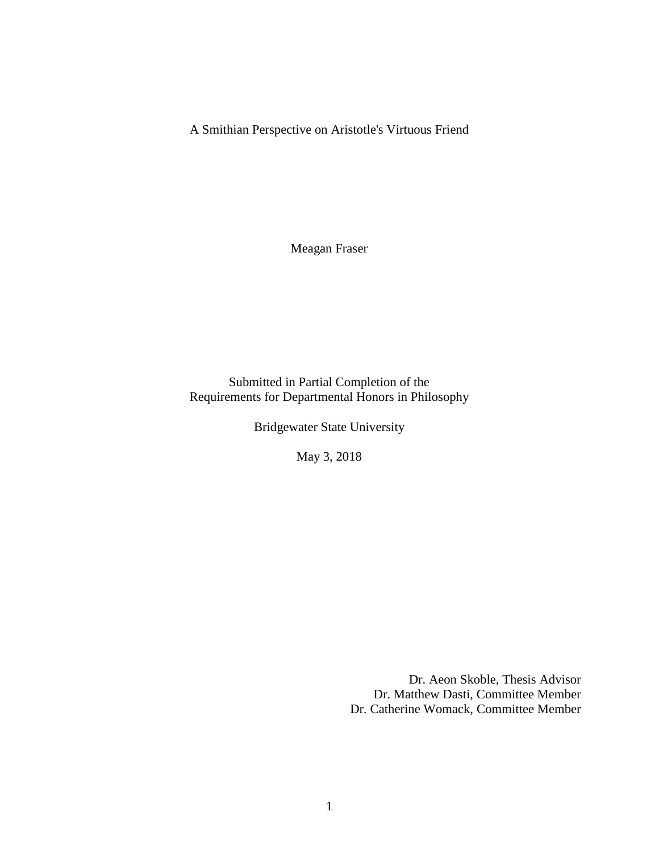A Smithian Perspective on Aristotle's Virtuous Friend

Meagan Fraser

Submitted in Partial Completion of the Requirements for Departmental Honors in Philosophy

Bridgewater State University

May 3, 2018

Dr. Aeon Skoble, Thesis Advisor Dr. Matthew Dasti, Committee Member Dr. Catherine Womack, Committee Member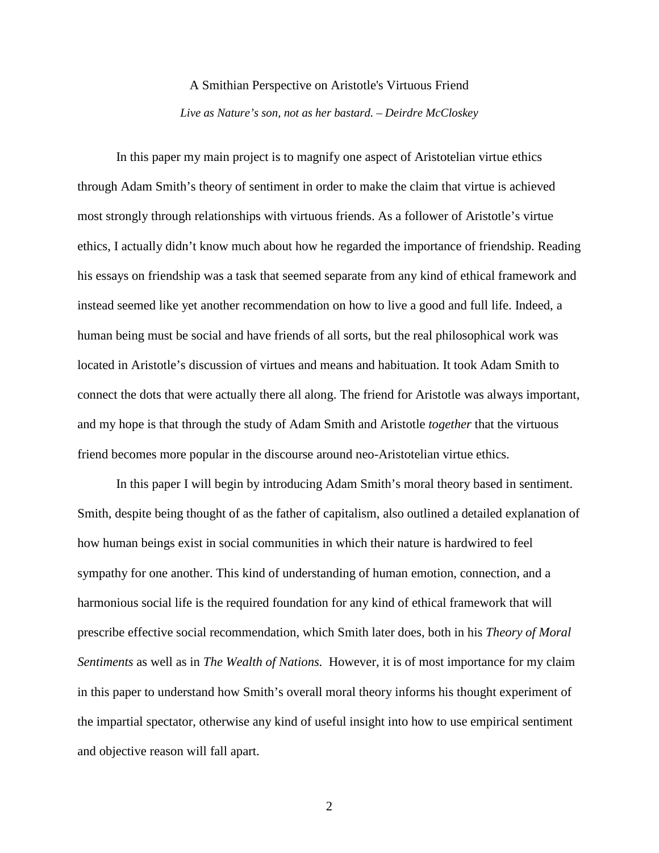# A Smithian Perspective on Aristotle's Virtuous Friend *Live as Nature's son, not as her bastard. – Deirdre McCloskey*

In this paper my main project is to magnify one aspect of Aristotelian virtue ethics through Adam Smith's theory of sentiment in order to make the claim that virtue is achieved most strongly through relationships with virtuous friends. As a follower of Aristotle's virtue ethics, I actually didn't know much about how he regarded the importance of friendship. Reading his essays on friendship was a task that seemed separate from any kind of ethical framework and instead seemed like yet another recommendation on how to live a good and full life. Indeed, a human being must be social and have friends of all sorts, but the real philosophical work was located in Aristotle's discussion of virtues and means and habituation. It took Adam Smith to connect the dots that were actually there all along. The friend for Aristotle was always important, and my hope is that through the study of Adam Smith and Aristotle *together* that the virtuous friend becomes more popular in the discourse around neo-Aristotelian virtue ethics.

In this paper I will begin by introducing Adam Smith's moral theory based in sentiment. Smith, despite being thought of as the father of capitalism, also outlined a detailed explanation of how human beings exist in social communities in which their nature is hardwired to feel sympathy for one another. This kind of understanding of human emotion, connection, and a harmonious social life is the required foundation for any kind of ethical framework that will prescribe effective social recommendation, which Smith later does, both in his *Theory of Moral Sentiments* as well as in *The Wealth of Nations.* However, it is of most importance for my claim in this paper to understand how Smith's overall moral theory informs his thought experiment of the impartial spectator, otherwise any kind of useful insight into how to use empirical sentiment and objective reason will fall apart.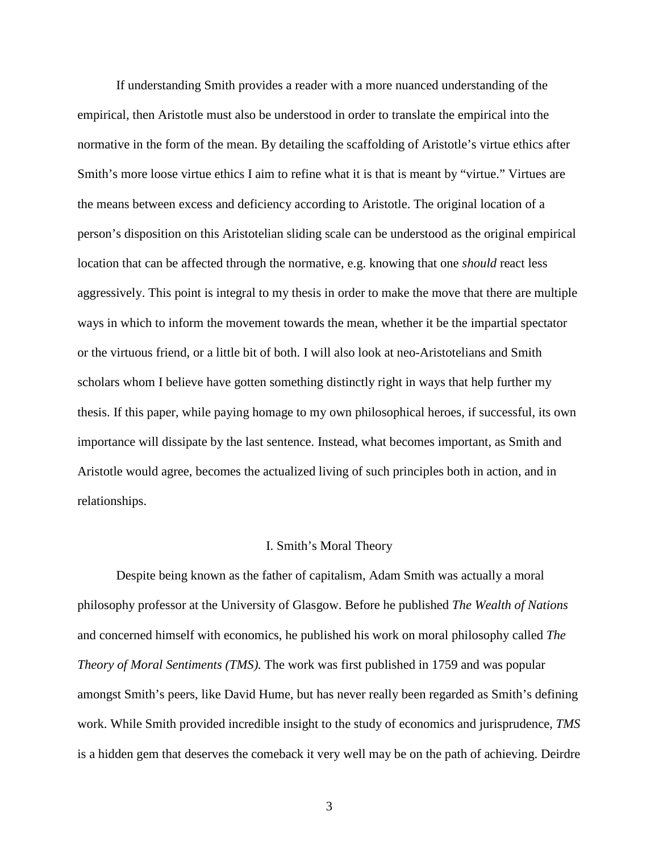If understanding Smith provides a reader with a more nuanced understanding of the empirical, then Aristotle must also be understood in order to translate the empirical into the normative in the form of the mean. By detailing the scaffolding of Aristotle's virtue ethics after Smith's more loose virtue ethics I aim to refine what it is that is meant by "virtue." Virtues are the means between excess and deficiency according to Aristotle. The original location of a person's disposition on this Aristotelian sliding scale can be understood as the original empirical location that can be affected through the normative, e.g. knowing that one *should* react less aggressively. This point is integral to my thesis in order to make the move that there are multiple ways in which to inform the movement towards the mean, whether it be the impartial spectator or the virtuous friend, or a little bit of both. I will also look at neo-Aristotelians and Smith scholars whom I believe have gotten something distinctly right in ways that help further my thesis. If this paper, while paying homage to my own philosophical heroes, if successful, its own importance will dissipate by the last sentence. Instead, what becomes important, as Smith and Aristotle would agree, becomes the actualized living of such principles both in action, and in relationships.

## I. Smith's Moral Theory

Despite being known as the father of capitalism, Adam Smith was actually a moral philosophy professor at the University of Glasgow. Before he published *The Wealth of Nations* and concerned himself with economics, he published his work on moral philosophy called *The Theory of Moral Sentiments (TMS).* The work was first published in 1759 and was popular amongst Smith's peers, like David Hume, but has never really been regarded as Smith's defining work. While Smith provided incredible insight to the study of economics and jurisprudence, *TMS*  is a hidden gem that deserves the comeback it very well may be on the path of achieving. Deirdre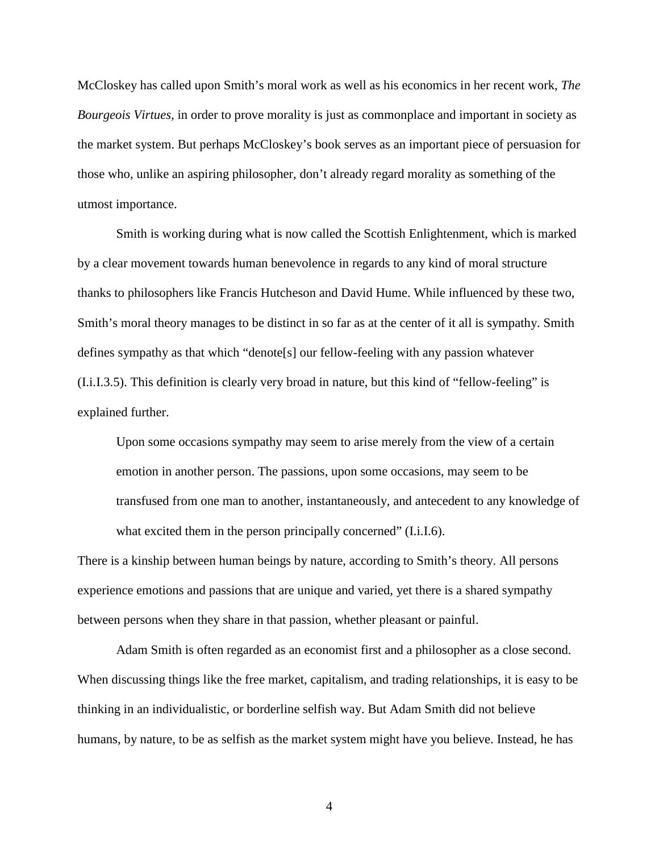McCloskey has called upon Smith's moral work as well as his economics in her recent work, *The Bourgeois Virtues,* in order to prove morality is just as commonplace and important in society as the market system. But perhaps McCloskey's book serves as an important piece of persuasion for those who, unlike an aspiring philosopher, don't already regard morality as something of the utmost importance.

Smith is working during what is now called the Scottish Enlightenment, which is marked by a clear movement towards human benevolence in regards to any kind of moral structure thanks to philosophers like Francis Hutcheson and David Hume. While influenced by these two, Smith's moral theory manages to be distinct in so far as at the center of it all is sympathy. Smith defines sympathy as that which "denote[s] our fellow-feeling with any passion whatever (I.i.I.3.5). This definition is clearly very broad in nature, but this kind of "fellow-feeling" is explained further.

Upon some occasions sympathy may seem to arise merely from the view of a certain emotion in another person. The passions, upon some occasions, may seem to be transfused from one man to another, instantaneously, and antecedent to any knowledge of what excited them in the person principally concerned" (I.i.I.6).

There is a kinship between human beings by nature, according to Smith's theory. All persons experience emotions and passions that are unique and varied, yet there is a shared sympathy between persons when they share in that passion, whether pleasant or painful.

Adam Smith is often regarded as an economist first and a philosopher as a close second. When discussing things like the free market, capitalism, and trading relationships, it is easy to be thinking in an individualistic, or borderline selfish way. But Adam Smith did not believe humans, by nature, to be as selfish as the market system might have you believe. Instead, he has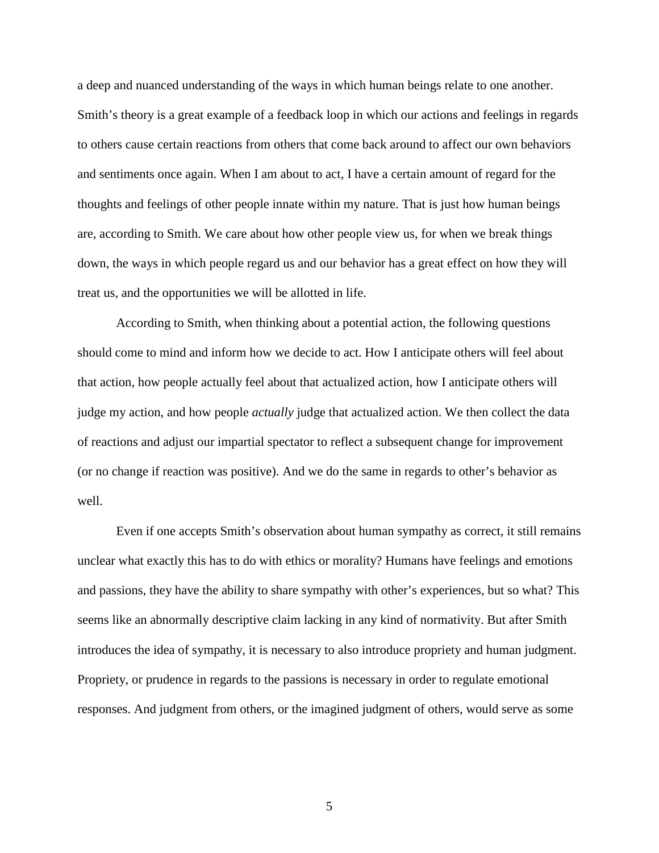a deep and nuanced understanding of the ways in which human beings relate to one another. Smith's theory is a great example of a feedback loop in which our actions and feelings in regards to others cause certain reactions from others that come back around to affect our own behaviors and sentiments once again. When I am about to act, I have a certain amount of regard for the thoughts and feelings of other people innate within my nature. That is just how human beings are, according to Smith. We care about how other people view us, for when we break things down, the ways in which people regard us and our behavior has a great effect on how they will treat us, and the opportunities we will be allotted in life.

According to Smith, when thinking about a potential action, the following questions should come to mind and inform how we decide to act. How I anticipate others will feel about that action, how people actually feel about that actualized action, how I anticipate others will judge my action, and how people *actually* judge that actualized action. We then collect the data of reactions and adjust our impartial spectator to reflect a subsequent change for improvement (or no change if reaction was positive). And we do the same in regards to other's behavior as well.

Even if one accepts Smith's observation about human sympathy as correct, it still remains unclear what exactly this has to do with ethics or morality? Humans have feelings and emotions and passions, they have the ability to share sympathy with other's experiences, but so what? This seems like an abnormally descriptive claim lacking in any kind of normativity. But after Smith introduces the idea of sympathy, it is necessary to also introduce propriety and human judgment. Propriety, or prudence in regards to the passions is necessary in order to regulate emotional responses. And judgment from others, or the imagined judgment of others, would serve as some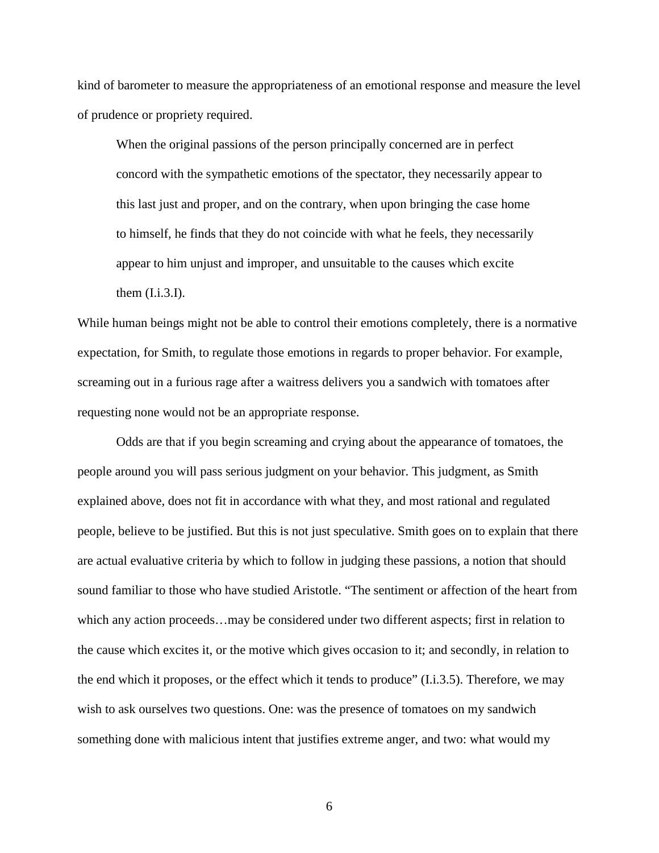kind of barometer to measure the appropriateness of an emotional response and measure the level of prudence or propriety required.

When the original passions of the person principally concerned are in perfect concord with the sympathetic emotions of the spectator, they necessarily appear to this last just and proper, and on the contrary, when upon bringing the case home to himself, he finds that they do not coincide with what he feels, they necessarily appear to him unjust and improper, and unsuitable to the causes which excite them  $(I.i.3.I)$ .

While human beings might not be able to control their emotions completely, there is a normative expectation, for Smith, to regulate those emotions in regards to proper behavior. For example, screaming out in a furious rage after a waitress delivers you a sandwich with tomatoes after requesting none would not be an appropriate response.

Odds are that if you begin screaming and crying about the appearance of tomatoes, the people around you will pass serious judgment on your behavior. This judgment, as Smith explained above, does not fit in accordance with what they, and most rational and regulated people, believe to be justified. But this is not just speculative. Smith goes on to explain that there are actual evaluative criteria by which to follow in judging these passions, a notion that should sound familiar to those who have studied Aristotle. "The sentiment or affection of the heart from which any action proceeds…may be considered under two different aspects; first in relation to the cause which excites it, or the motive which gives occasion to it; and secondly, in relation to the end which it proposes, or the effect which it tends to produce" (I.i.3.5). Therefore, we may wish to ask ourselves two questions. One: was the presence of tomatoes on my sandwich something done with malicious intent that justifies extreme anger, and two: what would my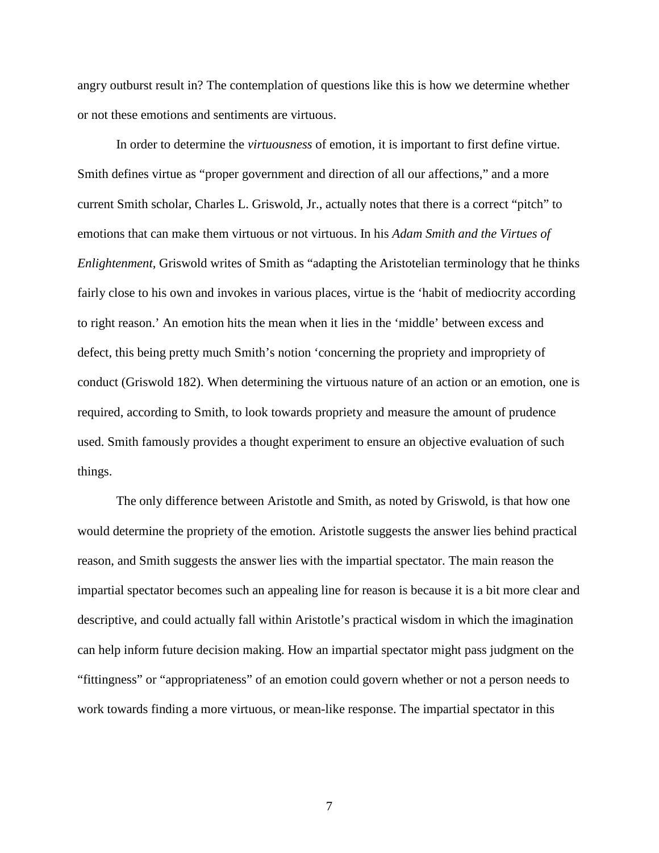angry outburst result in? The contemplation of questions like this is how we determine whether or not these emotions and sentiments are virtuous.

In order to determine the *virtuousness* of emotion, it is important to first define virtue. Smith defines virtue as "proper government and direction of all our affections," and a more current Smith scholar, Charles L. Griswold, Jr., actually notes that there is a correct "pitch" to emotions that can make them virtuous or not virtuous. In his *Adam Smith and the Virtues of Enlightenment,* Griswold writes of Smith as "adapting the Aristotelian terminology that he thinks fairly close to his own and invokes in various places, virtue is the 'habit of mediocrity according to right reason.' An emotion hits the mean when it lies in the 'middle' between excess and defect, this being pretty much Smith's notion 'concerning the propriety and impropriety of conduct (Griswold 182). When determining the virtuous nature of an action or an emotion, one is required, according to Smith, to look towards propriety and measure the amount of prudence used. Smith famously provides a thought experiment to ensure an objective evaluation of such things.

The only difference between Aristotle and Smith, as noted by Griswold, is that how one would determine the propriety of the emotion. Aristotle suggests the answer lies behind practical reason, and Smith suggests the answer lies with the impartial spectator. The main reason the impartial spectator becomes such an appealing line for reason is because it is a bit more clear and descriptive, and could actually fall within Aristotle's practical wisdom in which the imagination can help inform future decision making. How an impartial spectator might pass judgment on the "fittingness" or "appropriateness" of an emotion could govern whether or not a person needs to work towards finding a more virtuous, or mean-like response. The impartial spectator in this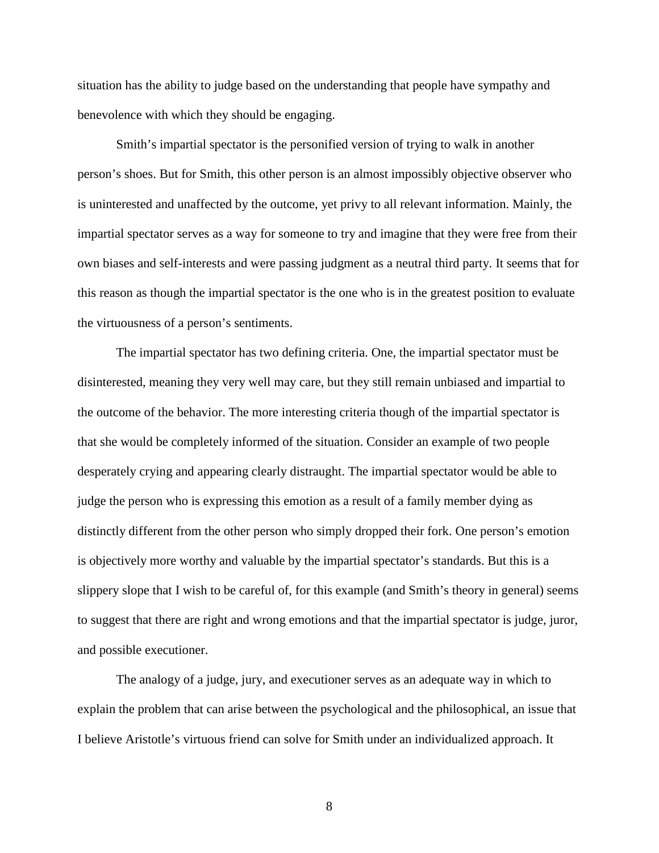situation has the ability to judge based on the understanding that people have sympathy and benevolence with which they should be engaging.

Smith's impartial spectator is the personified version of trying to walk in another person's shoes. But for Smith, this other person is an almost impossibly objective observer who is uninterested and unaffected by the outcome, yet privy to all relevant information. Mainly, the impartial spectator serves as a way for someone to try and imagine that they were free from their own biases and self-interests and were passing judgment as a neutral third party. It seems that for this reason as though the impartial spectator is the one who is in the greatest position to evaluate the virtuousness of a person's sentiments.

The impartial spectator has two defining criteria. One, the impartial spectator must be disinterested, meaning they very well may care, but they still remain unbiased and impartial to the outcome of the behavior. The more interesting criteria though of the impartial spectator is that she would be completely informed of the situation. Consider an example of two people desperately crying and appearing clearly distraught. The impartial spectator would be able to judge the person who is expressing this emotion as a result of a family member dying as distinctly different from the other person who simply dropped their fork. One person's emotion is objectively more worthy and valuable by the impartial spectator's standards. But this is a slippery slope that I wish to be careful of, for this example (and Smith's theory in general) seems to suggest that there are right and wrong emotions and that the impartial spectator is judge, juror, and possible executioner.

The analogy of a judge, jury, and executioner serves as an adequate way in which to explain the problem that can arise between the psychological and the philosophical, an issue that I believe Aristotle's virtuous friend can solve for Smith under an individualized approach. It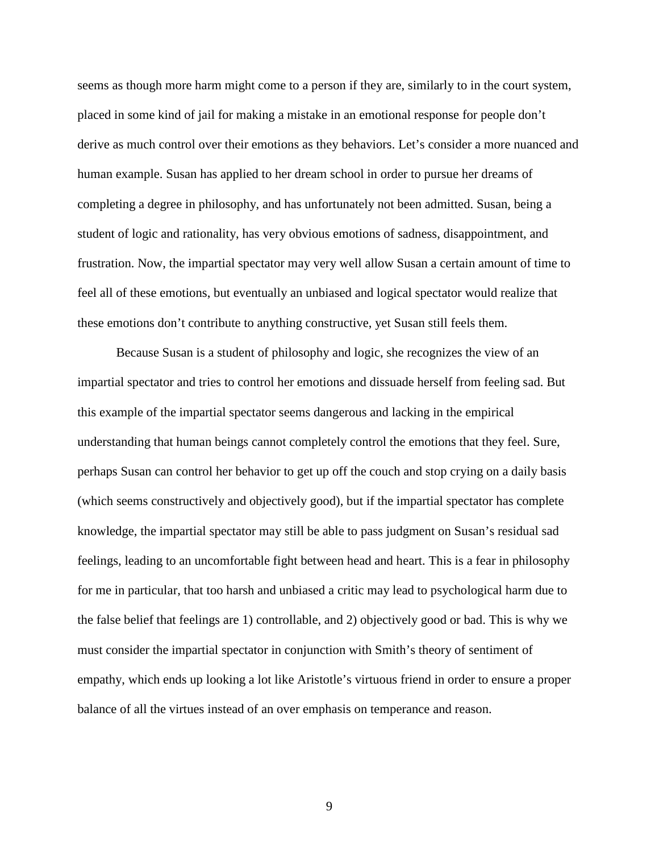seems as though more harm might come to a person if they are, similarly to in the court system, placed in some kind of jail for making a mistake in an emotional response for people don't derive as much control over their emotions as they behaviors. Let's consider a more nuanced and human example. Susan has applied to her dream school in order to pursue her dreams of completing a degree in philosophy, and has unfortunately not been admitted. Susan, being a student of logic and rationality, has very obvious emotions of sadness, disappointment, and frustration. Now, the impartial spectator may very well allow Susan a certain amount of time to feel all of these emotions, but eventually an unbiased and logical spectator would realize that these emotions don't contribute to anything constructive, yet Susan still feels them.

Because Susan is a student of philosophy and logic, she recognizes the view of an impartial spectator and tries to control her emotions and dissuade herself from feeling sad. But this example of the impartial spectator seems dangerous and lacking in the empirical understanding that human beings cannot completely control the emotions that they feel. Sure, perhaps Susan can control her behavior to get up off the couch and stop crying on a daily basis (which seems constructively and objectively good), but if the impartial spectator has complete knowledge, the impartial spectator may still be able to pass judgment on Susan's residual sad feelings, leading to an uncomfortable fight between head and heart. This is a fear in philosophy for me in particular, that too harsh and unbiased a critic may lead to psychological harm due to the false belief that feelings are 1) controllable, and 2) objectively good or bad. This is why we must consider the impartial spectator in conjunction with Smith's theory of sentiment of empathy, which ends up looking a lot like Aristotle's virtuous friend in order to ensure a proper balance of all the virtues instead of an over emphasis on temperance and reason.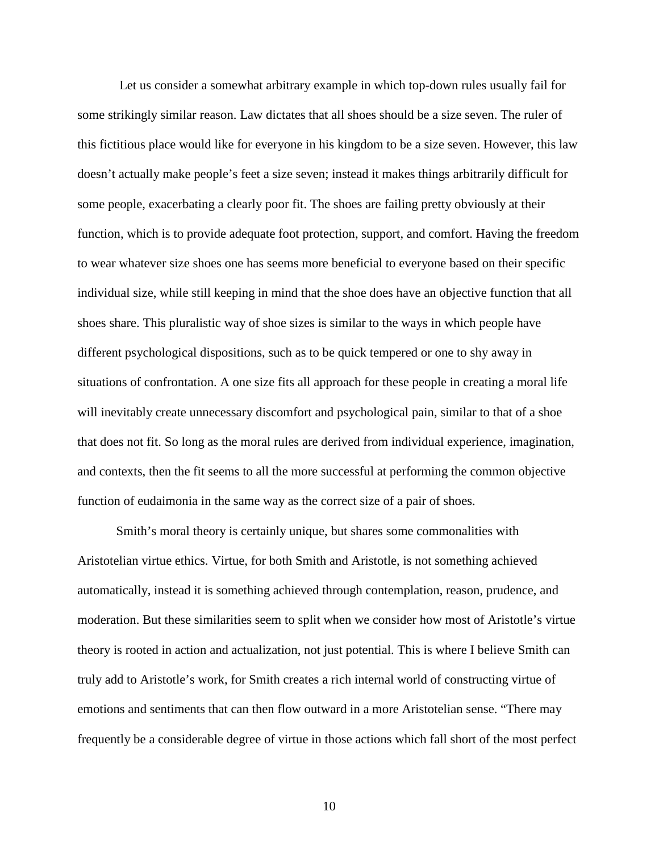Let us consider a somewhat arbitrary example in which top-down rules usually fail for some strikingly similar reason. Law dictates that all shoes should be a size seven. The ruler of this fictitious place would like for everyone in his kingdom to be a size seven. However, this law doesn't actually make people's feet a size seven; instead it makes things arbitrarily difficult for some people, exacerbating a clearly poor fit. The shoes are failing pretty obviously at their function, which is to provide adequate foot protection, support, and comfort. Having the freedom to wear whatever size shoes one has seems more beneficial to everyone based on their specific individual size, while still keeping in mind that the shoe does have an objective function that all shoes share. This pluralistic way of shoe sizes is similar to the ways in which people have different psychological dispositions, such as to be quick tempered or one to shy away in situations of confrontation. A one size fits all approach for these people in creating a moral life will inevitably create unnecessary discomfort and psychological pain, similar to that of a shoe that does not fit. So long as the moral rules are derived from individual experience, imagination, and contexts, then the fit seems to all the more successful at performing the common objective function of eudaimonia in the same way as the correct size of a pair of shoes.

Smith's moral theory is certainly unique, but shares some commonalities with Aristotelian virtue ethics. Virtue, for both Smith and Aristotle, is not something achieved automatically, instead it is something achieved through contemplation, reason, prudence, and moderation. But these similarities seem to split when we consider how most of Aristotle's virtue theory is rooted in action and actualization, not just potential. This is where I believe Smith can truly add to Aristotle's work, for Smith creates a rich internal world of constructing virtue of emotions and sentiments that can then flow outward in a more Aristotelian sense. "There may frequently be a considerable degree of virtue in those actions which fall short of the most perfect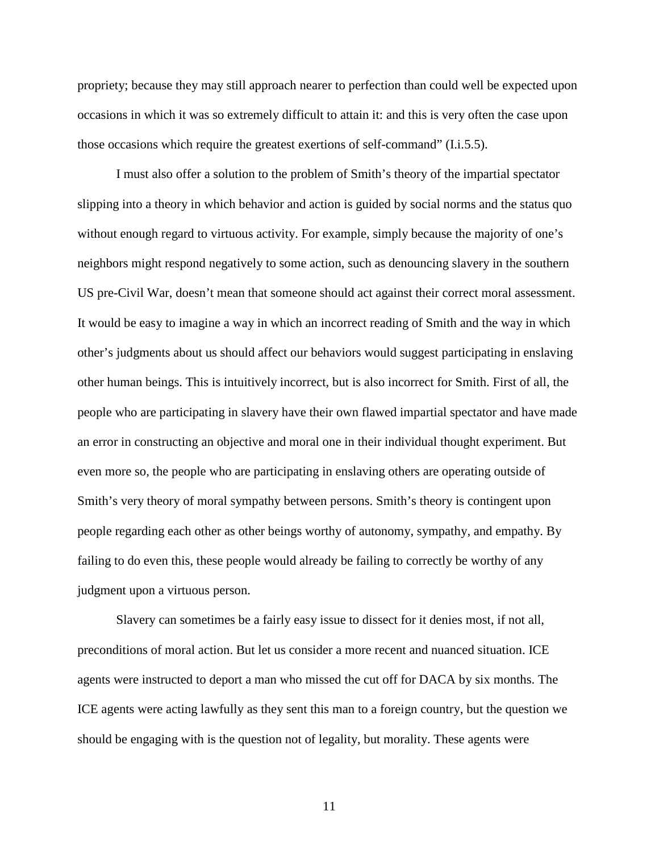propriety; because they may still approach nearer to perfection than could well be expected upon occasions in which it was so extremely difficult to attain it: and this is very often the case upon those occasions which require the greatest exertions of self-command" (I.i.5.5).

I must also offer a solution to the problem of Smith's theory of the impartial spectator slipping into a theory in which behavior and action is guided by social norms and the status quo without enough regard to virtuous activity. For example, simply because the majority of one's neighbors might respond negatively to some action, such as denouncing slavery in the southern US pre-Civil War, doesn't mean that someone should act against their correct moral assessment. It would be easy to imagine a way in which an incorrect reading of Smith and the way in which other's judgments about us should affect our behaviors would suggest participating in enslaving other human beings. This is intuitively incorrect, but is also incorrect for Smith. First of all, the people who are participating in slavery have their own flawed impartial spectator and have made an error in constructing an objective and moral one in their individual thought experiment. But even more so, the people who are participating in enslaving others are operating outside of Smith's very theory of moral sympathy between persons. Smith's theory is contingent upon people regarding each other as other beings worthy of autonomy, sympathy, and empathy. By failing to do even this, these people would already be failing to correctly be worthy of any judgment upon a virtuous person.

Slavery can sometimes be a fairly easy issue to dissect for it denies most, if not all, preconditions of moral action. But let us consider a more recent and nuanced situation. ICE agents were instructed to deport a man who missed the cut off for DACA by six months. The ICE agents were acting lawfully as they sent this man to a foreign country, but the question we should be engaging with is the question not of legality, but morality. These agents were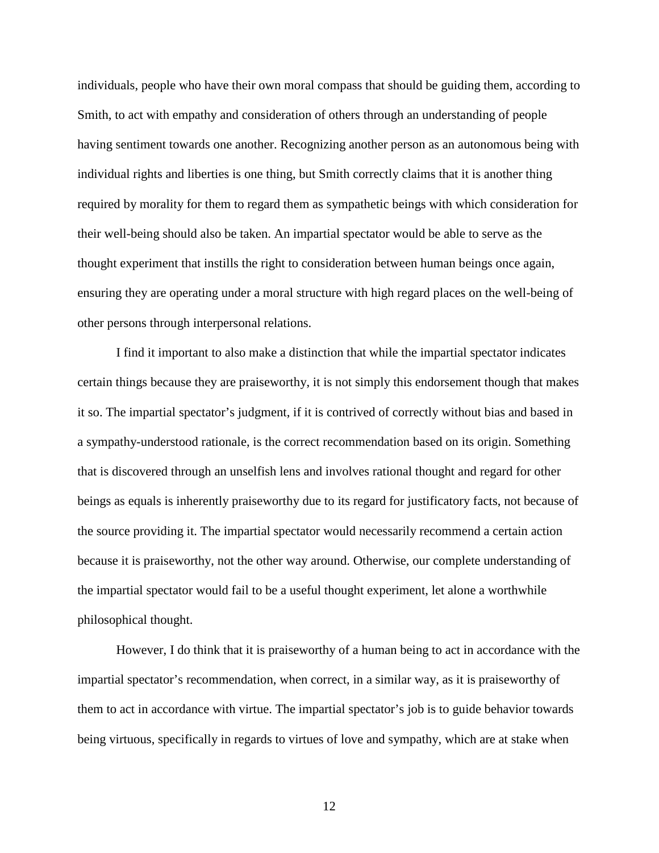individuals, people who have their own moral compass that should be guiding them, according to Smith, to act with empathy and consideration of others through an understanding of people having sentiment towards one another. Recognizing another person as an autonomous being with individual rights and liberties is one thing, but Smith correctly claims that it is another thing required by morality for them to regard them as sympathetic beings with which consideration for their well-being should also be taken. An impartial spectator would be able to serve as the thought experiment that instills the right to consideration between human beings once again, ensuring they are operating under a moral structure with high regard places on the well-being of other persons through interpersonal relations.

I find it important to also make a distinction that while the impartial spectator indicates certain things because they are praiseworthy, it is not simply this endorsement though that makes it so. The impartial spectator's judgment, if it is contrived of correctly without bias and based in a sympathy-understood rationale, is the correct recommendation based on its origin. Something that is discovered through an unselfish lens and involves rational thought and regard for other beings as equals is inherently praiseworthy due to its regard for justificatory facts, not because of the source providing it. The impartial spectator would necessarily recommend a certain action because it is praiseworthy, not the other way around. Otherwise, our complete understanding of the impartial spectator would fail to be a useful thought experiment, let alone a worthwhile philosophical thought.

However, I do think that it is praiseworthy of a human being to act in accordance with the impartial spectator's recommendation, when correct, in a similar way, as it is praiseworthy of them to act in accordance with virtue. The impartial spectator's job is to guide behavior towards being virtuous, specifically in regards to virtues of love and sympathy, which are at stake when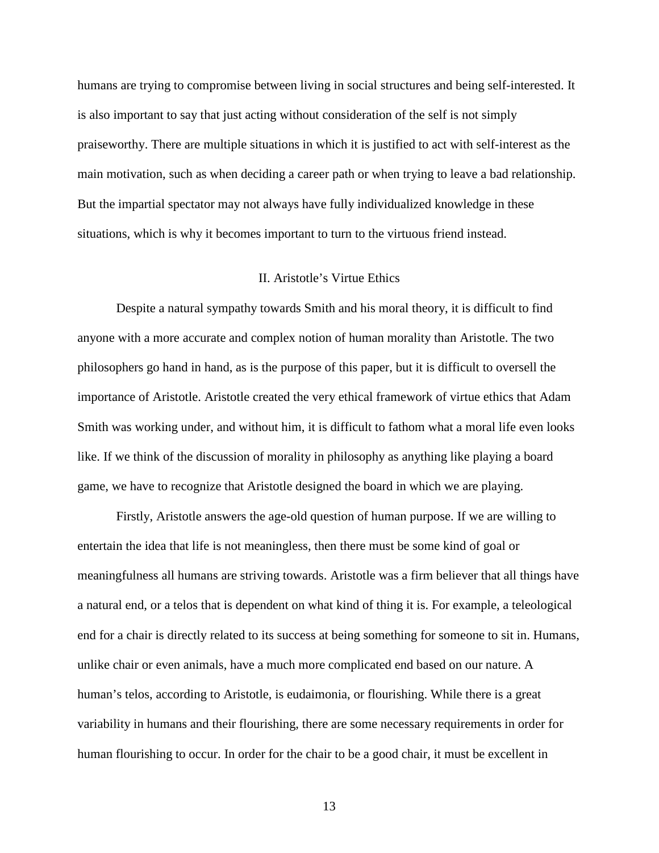humans are trying to compromise between living in social structures and being self-interested. It is also important to say that just acting without consideration of the self is not simply praiseworthy. There are multiple situations in which it is justified to act with self-interest as the main motivation, such as when deciding a career path or when trying to leave a bad relationship. But the impartial spectator may not always have fully individualized knowledge in these situations, which is why it becomes important to turn to the virtuous friend instead.

# II. Aristotle's Virtue Ethics

Despite a natural sympathy towards Smith and his moral theory, it is difficult to find anyone with a more accurate and complex notion of human morality than Aristotle. The two philosophers go hand in hand, as is the purpose of this paper, but it is difficult to oversell the importance of Aristotle. Aristotle created the very ethical framework of virtue ethics that Adam Smith was working under, and without him, it is difficult to fathom what a moral life even looks like. If we think of the discussion of morality in philosophy as anything like playing a board game, we have to recognize that Aristotle designed the board in which we are playing.

Firstly, Aristotle answers the age-old question of human purpose. If we are willing to entertain the idea that life is not meaningless, then there must be some kind of goal or meaningfulness all humans are striving towards. Aristotle was a firm believer that all things have a natural end, or a telos that is dependent on what kind of thing it is. For example, a teleological end for a chair is directly related to its success at being something for someone to sit in. Humans, unlike chair or even animals, have a much more complicated end based on our nature. A human's telos, according to Aristotle, is eudaimonia, or flourishing. While there is a great variability in humans and their flourishing, there are some necessary requirements in order for human flourishing to occur. In order for the chair to be a good chair, it must be excellent in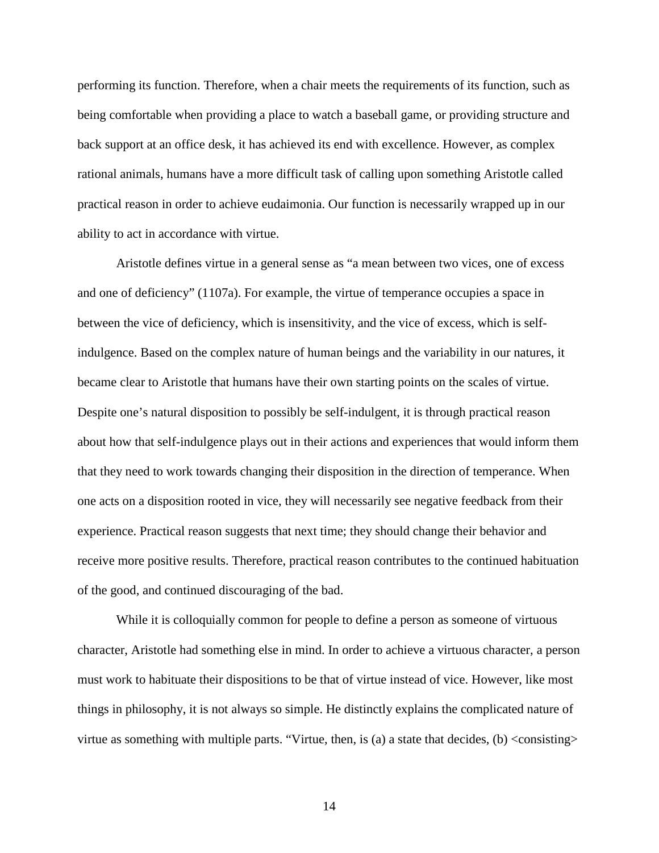performing its function. Therefore, when a chair meets the requirements of its function, such as being comfortable when providing a place to watch a baseball game, or providing structure and back support at an office desk, it has achieved its end with excellence. However, as complex rational animals, humans have a more difficult task of calling upon something Aristotle called practical reason in order to achieve eudaimonia. Our function is necessarily wrapped up in our ability to act in accordance with virtue.

Aristotle defines virtue in a general sense as "a mean between two vices, one of excess and one of deficiency" (1107a). For example, the virtue of temperance occupies a space in between the vice of deficiency, which is insensitivity, and the vice of excess, which is selfindulgence. Based on the complex nature of human beings and the variability in our natures, it became clear to Aristotle that humans have their own starting points on the scales of virtue. Despite one's natural disposition to possibly be self-indulgent, it is through practical reason about how that self-indulgence plays out in their actions and experiences that would inform them that they need to work towards changing their disposition in the direction of temperance. When one acts on a disposition rooted in vice, they will necessarily see negative feedback from their experience. Practical reason suggests that next time; they should change their behavior and receive more positive results. Therefore, practical reason contributes to the continued habituation of the good, and continued discouraging of the bad.

While it is colloquially common for people to define a person as someone of virtuous character, Aristotle had something else in mind. In order to achieve a virtuous character, a person must work to habituate their dispositions to be that of virtue instead of vice. However, like most things in philosophy, it is not always so simple. He distinctly explains the complicated nature of virtue as something with multiple parts. "Virtue, then, is (a) a state that decides, (b) <consisting>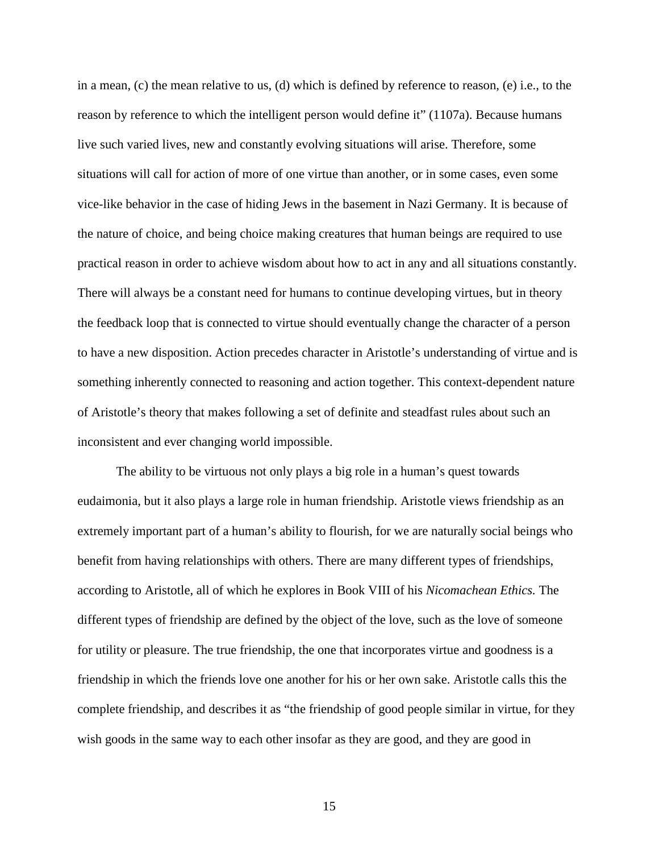in a mean, (c) the mean relative to us, (d) which is defined by reference to reason, (e) i.e., to the reason by reference to which the intelligent person would define it" (1107a). Because humans live such varied lives, new and constantly evolving situations will arise. Therefore, some situations will call for action of more of one virtue than another, or in some cases, even some vice-like behavior in the case of hiding Jews in the basement in Nazi Germany. It is because of the nature of choice, and being choice making creatures that human beings are required to use practical reason in order to achieve wisdom about how to act in any and all situations constantly. There will always be a constant need for humans to continue developing virtues, but in theory the feedback loop that is connected to virtue should eventually change the character of a person to have a new disposition. Action precedes character in Aristotle's understanding of virtue and is something inherently connected to reasoning and action together. This context-dependent nature of Aristotle's theory that makes following a set of definite and steadfast rules about such an inconsistent and ever changing world impossible.

The ability to be virtuous not only plays a big role in a human's quest towards eudaimonia, but it also plays a large role in human friendship. Aristotle views friendship as an extremely important part of a human's ability to flourish, for we are naturally social beings who benefit from having relationships with others. There are many different types of friendships, according to Aristotle, all of which he explores in Book VIII of his *Nicomachean Ethics.* The different types of friendship are defined by the object of the love, such as the love of someone for utility or pleasure. The true friendship, the one that incorporates virtue and goodness is a friendship in which the friends love one another for his or her own sake. Aristotle calls this the complete friendship, and describes it as "the friendship of good people similar in virtue, for they wish goods in the same way to each other insofar as they are good, and they are good in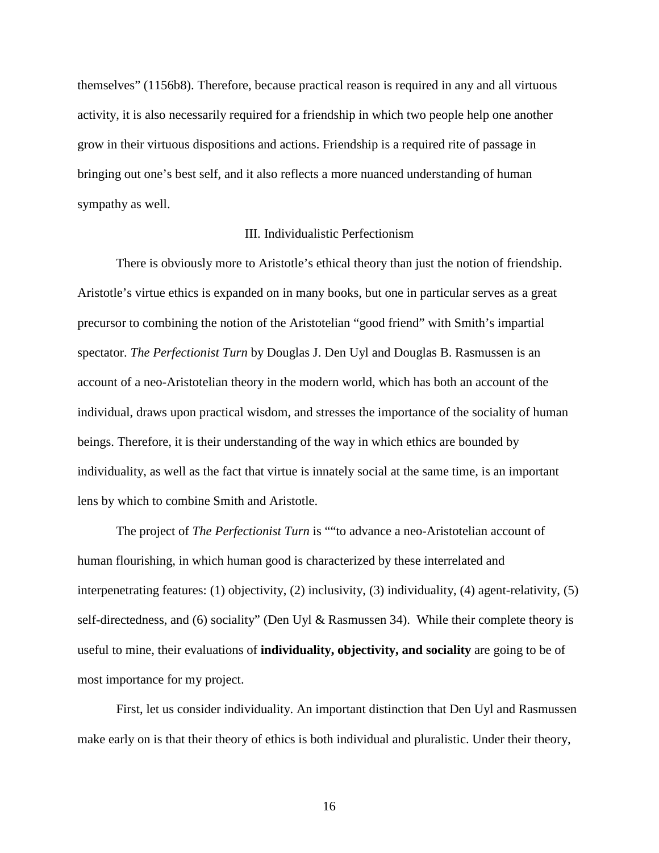themselves" (1156b8). Therefore, because practical reason is required in any and all virtuous activity, it is also necessarily required for a friendship in which two people help one another grow in their virtuous dispositions and actions. Friendship is a required rite of passage in bringing out one's best self, and it also reflects a more nuanced understanding of human sympathy as well.

#### III. Individualistic Perfectionism

There is obviously more to Aristotle's ethical theory than just the notion of friendship. Aristotle's virtue ethics is expanded on in many books, but one in particular serves as a great precursor to combining the notion of the Aristotelian "good friend" with Smith's impartial spectator. *The Perfectionist Turn* by Douglas J. Den Uyl and Douglas B. Rasmussen is an account of a neo-Aristotelian theory in the modern world, which has both an account of the individual, draws upon practical wisdom, and stresses the importance of the sociality of human beings. Therefore, it is their understanding of the way in which ethics are bounded by individuality, as well as the fact that virtue is innately social at the same time, is an important lens by which to combine Smith and Aristotle.

The project of *The Perfectionist Turn* is ""to advance a neo-Aristotelian account of human flourishing, in which human good is characterized by these interrelated and interpenetrating features: (1) objectivity, (2) inclusivity, (3) individuality, (4) agent-relativity, (5) self-directedness, and (6) sociality" (Den Uyl & Rasmussen 34). While their complete theory is useful to mine, their evaluations of **individuality, objectivity, and sociality** are going to be of most importance for my project.

First, let us consider individuality. An important distinction that Den Uyl and Rasmussen make early on is that their theory of ethics is both individual and pluralistic. Under their theory,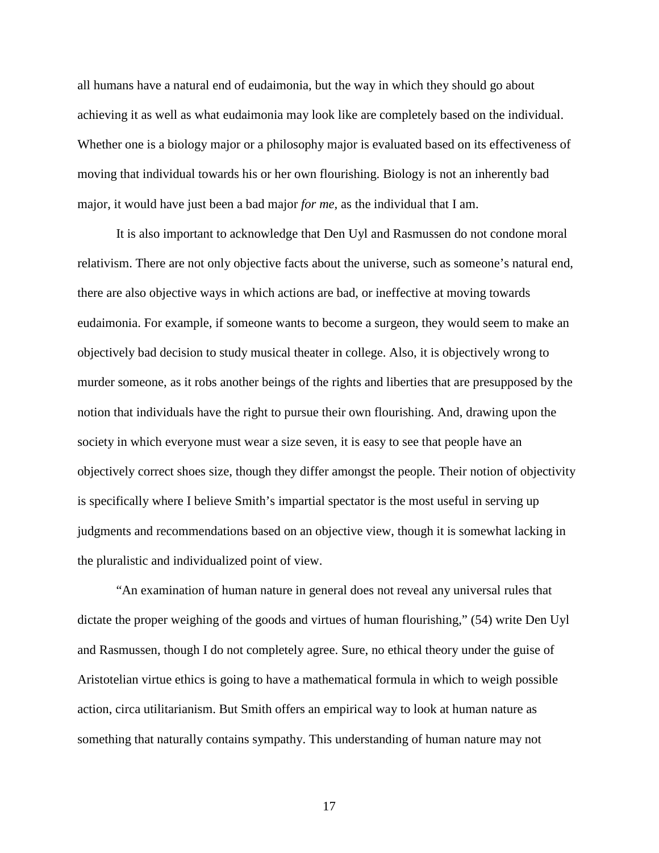all humans have a natural end of eudaimonia, but the way in which they should go about achieving it as well as what eudaimonia may look like are completely based on the individual. Whether one is a biology major or a philosophy major is evaluated based on its effectiveness of moving that individual towards his or her own flourishing. Biology is not an inherently bad major, it would have just been a bad major *for me,* as the individual that I am.

It is also important to acknowledge that Den Uyl and Rasmussen do not condone moral relativism. There are not only objective facts about the universe, such as someone's natural end, there are also objective ways in which actions are bad, or ineffective at moving towards eudaimonia. For example, if someone wants to become a surgeon, they would seem to make an objectively bad decision to study musical theater in college. Also, it is objectively wrong to murder someone, as it robs another beings of the rights and liberties that are presupposed by the notion that individuals have the right to pursue their own flourishing. And, drawing upon the society in which everyone must wear a size seven, it is easy to see that people have an objectively correct shoes size, though they differ amongst the people. Their notion of objectivity is specifically where I believe Smith's impartial spectator is the most useful in serving up judgments and recommendations based on an objective view, though it is somewhat lacking in the pluralistic and individualized point of view.

"An examination of human nature in general does not reveal any universal rules that dictate the proper weighing of the goods and virtues of human flourishing," (54) write Den Uyl and Rasmussen, though I do not completely agree. Sure, no ethical theory under the guise of Aristotelian virtue ethics is going to have a mathematical formula in which to weigh possible action, circa utilitarianism. But Smith offers an empirical way to look at human nature as something that naturally contains sympathy. This understanding of human nature may not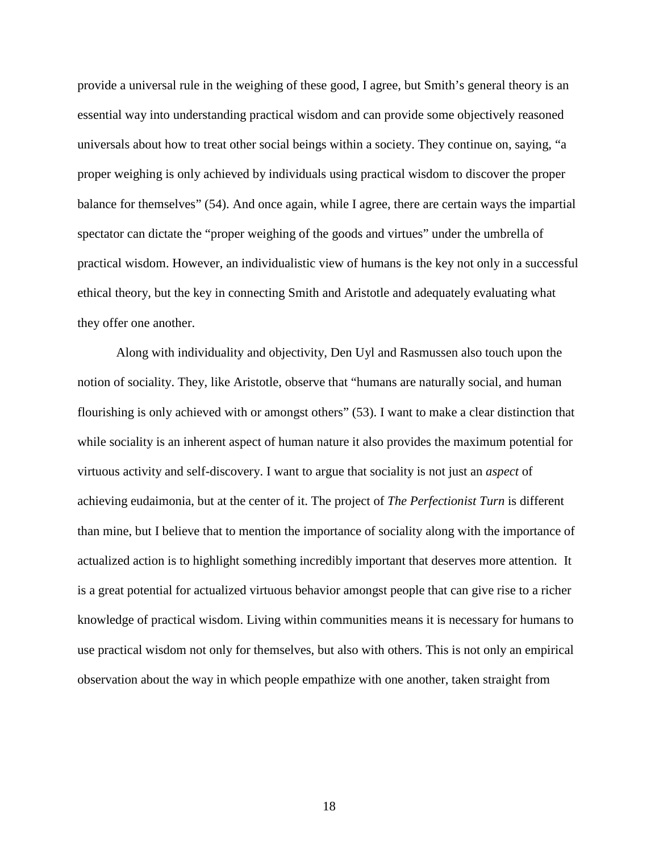provide a universal rule in the weighing of these good, I agree, but Smith's general theory is an essential way into understanding practical wisdom and can provide some objectively reasoned universals about how to treat other social beings within a society. They continue on, saying, "a proper weighing is only achieved by individuals using practical wisdom to discover the proper balance for themselves" (54). And once again, while I agree, there are certain ways the impartial spectator can dictate the "proper weighing of the goods and virtues" under the umbrella of practical wisdom. However, an individualistic view of humans is the key not only in a successful ethical theory, but the key in connecting Smith and Aristotle and adequately evaluating what they offer one another.

Along with individuality and objectivity, Den Uyl and Rasmussen also touch upon the notion of sociality. They, like Aristotle, observe that "humans are naturally social, and human flourishing is only achieved with or amongst others" (53). I want to make a clear distinction that while sociality is an inherent aspect of human nature it also provides the maximum potential for virtuous activity and self-discovery. I want to argue that sociality is not just an *aspect* of achieving eudaimonia, but at the center of it. The project of *The Perfectionist Turn* is different than mine, but I believe that to mention the importance of sociality along with the importance of actualized action is to highlight something incredibly important that deserves more attention. It is a great potential for actualized virtuous behavior amongst people that can give rise to a richer knowledge of practical wisdom. Living within communities means it is necessary for humans to use practical wisdom not only for themselves, but also with others. This is not only an empirical observation about the way in which people empathize with one another, taken straight from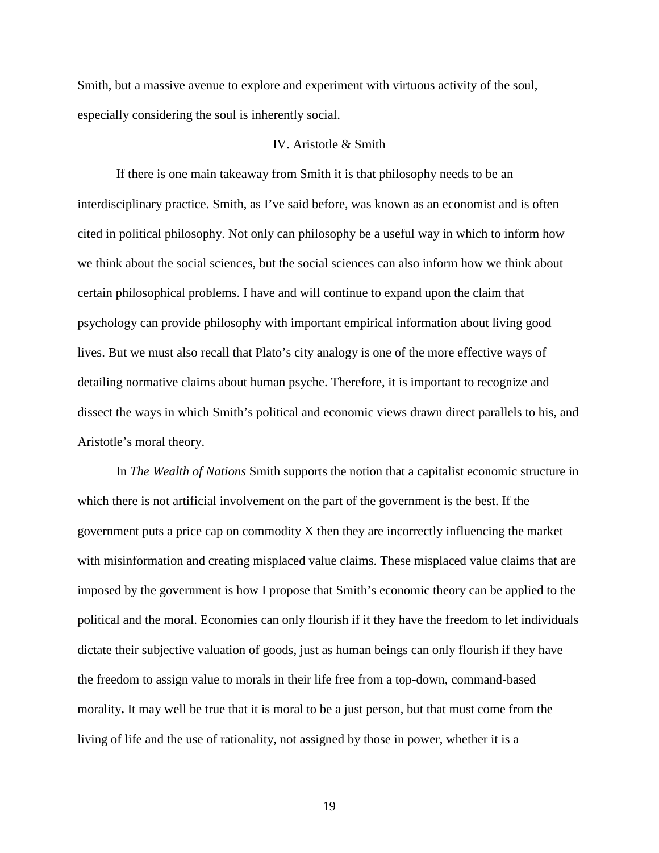Smith, but a massive avenue to explore and experiment with virtuous activity of the soul, especially considering the soul is inherently social.

# IV. Aristotle & Smith

If there is one main takeaway from Smith it is that philosophy needs to be an interdisciplinary practice. Smith, as I've said before, was known as an economist and is often cited in political philosophy. Not only can philosophy be a useful way in which to inform how we think about the social sciences, but the social sciences can also inform how we think about certain philosophical problems. I have and will continue to expand upon the claim that psychology can provide philosophy with important empirical information about living good lives. But we must also recall that Plato's city analogy is one of the more effective ways of detailing normative claims about human psyche. Therefore, it is important to recognize and dissect the ways in which Smith's political and economic views drawn direct parallels to his, and Aristotle's moral theory.

In *The Wealth of Nations* Smith supports the notion that a capitalist economic structure in which there is not artificial involvement on the part of the government is the best. If the government puts a price cap on commodity X then they are incorrectly influencing the market with misinformation and creating misplaced value claims. These misplaced value claims that are imposed by the government is how I propose that Smith's economic theory can be applied to the political and the moral. Economies can only flourish if it they have the freedom to let individuals dictate their subjective valuation of goods, just as human beings can only flourish if they have the freedom to assign value to morals in their life free from a top-down, command-based morality**.** It may well be true that it is moral to be a just person, but that must come from the living of life and the use of rationality, not assigned by those in power, whether it is a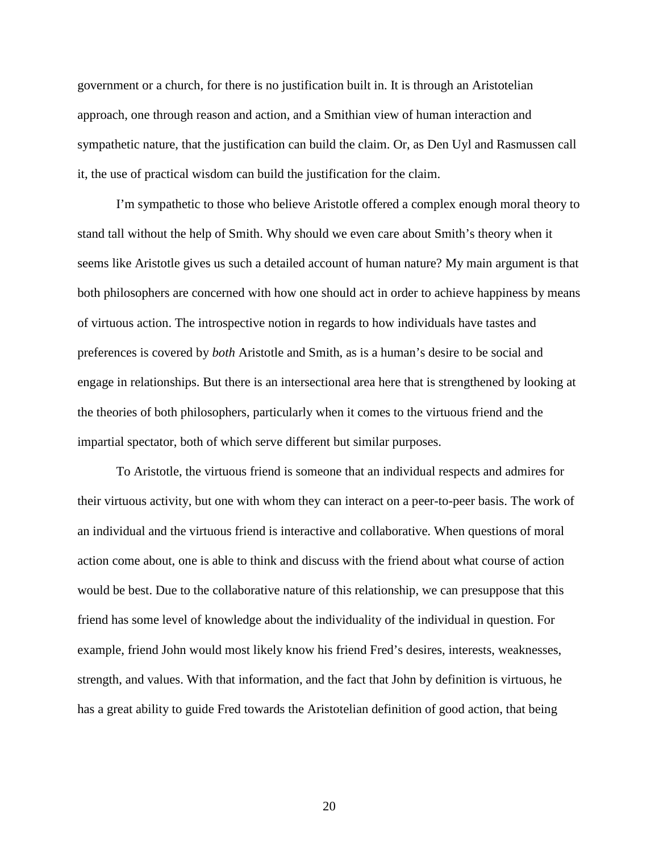government or a church, for there is no justification built in. It is through an Aristotelian approach, one through reason and action, and a Smithian view of human interaction and sympathetic nature, that the justification can build the claim. Or, as Den Uyl and Rasmussen call it, the use of practical wisdom can build the justification for the claim.

I'm sympathetic to those who believe Aristotle offered a complex enough moral theory to stand tall without the help of Smith. Why should we even care about Smith's theory when it seems like Aristotle gives us such a detailed account of human nature? My main argument is that both philosophers are concerned with how one should act in order to achieve happiness by means of virtuous action. The introspective notion in regards to how individuals have tastes and preferences is covered by *both* Aristotle and Smith, as is a human's desire to be social and engage in relationships. But there is an intersectional area here that is strengthened by looking at the theories of both philosophers, particularly when it comes to the virtuous friend and the impartial spectator, both of which serve different but similar purposes.

To Aristotle, the virtuous friend is someone that an individual respects and admires for their virtuous activity, but one with whom they can interact on a peer-to-peer basis. The work of an individual and the virtuous friend is interactive and collaborative. When questions of moral action come about, one is able to think and discuss with the friend about what course of action would be best. Due to the collaborative nature of this relationship, we can presuppose that this friend has some level of knowledge about the individuality of the individual in question. For example, friend John would most likely know his friend Fred's desires, interests, weaknesses, strength, and values. With that information, and the fact that John by definition is virtuous, he has a great ability to guide Fred towards the Aristotelian definition of good action, that being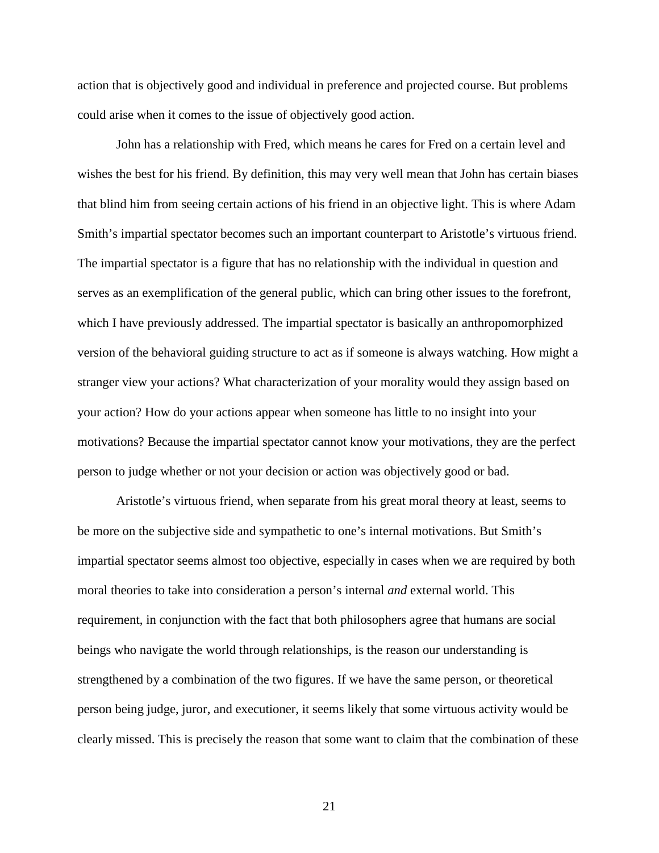action that is objectively good and individual in preference and projected course. But problems could arise when it comes to the issue of objectively good action.

John has a relationship with Fred, which means he cares for Fred on a certain level and wishes the best for his friend. By definition, this may very well mean that John has certain biases that blind him from seeing certain actions of his friend in an objective light. This is where Adam Smith's impartial spectator becomes such an important counterpart to Aristotle's virtuous friend. The impartial spectator is a figure that has no relationship with the individual in question and serves as an exemplification of the general public, which can bring other issues to the forefront, which I have previously addressed. The impartial spectator is basically an anthropomorphized version of the behavioral guiding structure to act as if someone is always watching. How might a stranger view your actions? What characterization of your morality would they assign based on your action? How do your actions appear when someone has little to no insight into your motivations? Because the impartial spectator cannot know your motivations, they are the perfect person to judge whether or not your decision or action was objectively good or bad.

Aristotle's virtuous friend, when separate from his great moral theory at least, seems to be more on the subjective side and sympathetic to one's internal motivations. But Smith's impartial spectator seems almost too objective, especially in cases when we are required by both moral theories to take into consideration a person's internal *and* external world. This requirement, in conjunction with the fact that both philosophers agree that humans are social beings who navigate the world through relationships, is the reason our understanding is strengthened by a combination of the two figures. If we have the same person, or theoretical person being judge, juror, and executioner, it seems likely that some virtuous activity would be clearly missed. This is precisely the reason that some want to claim that the combination of these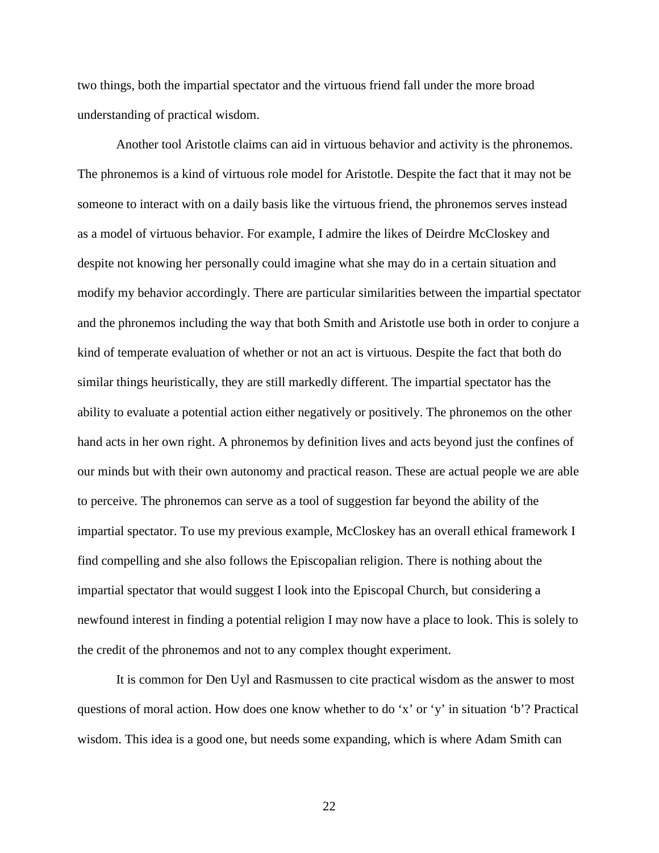two things, both the impartial spectator and the virtuous friend fall under the more broad understanding of practical wisdom.

Another tool Aristotle claims can aid in virtuous behavior and activity is the phronemos. The phronemos is a kind of virtuous role model for Aristotle. Despite the fact that it may not be someone to interact with on a daily basis like the virtuous friend, the phronemos serves instead as a model of virtuous behavior. For example, I admire the likes of Deirdre McCloskey and despite not knowing her personally could imagine what she may do in a certain situation and modify my behavior accordingly. There are particular similarities between the impartial spectator and the phronemos including the way that both Smith and Aristotle use both in order to conjure a kind of temperate evaluation of whether or not an act is virtuous. Despite the fact that both do similar things heuristically, they are still markedly different. The impartial spectator has the ability to evaluate a potential action either negatively or positively. The phronemos on the other hand acts in her own right. A phronemos by definition lives and acts beyond just the confines of our minds but with their own autonomy and practical reason. These are actual people we are able to perceive. The phronemos can serve as a tool of suggestion far beyond the ability of the impartial spectator. To use my previous example, McCloskey has an overall ethical framework I find compelling and she also follows the Episcopalian religion. There is nothing about the impartial spectator that would suggest I look into the Episcopal Church, but considering a newfound interest in finding a potential religion I may now have a place to look. This is solely to the credit of the phronemos and not to any complex thought experiment.

It is common for Den Uyl and Rasmussen to cite practical wisdom as the answer to most questions of moral action. How does one know whether to do 'x' or 'y' in situation 'b'? Practical wisdom. This idea is a good one, but needs some expanding, which is where Adam Smith can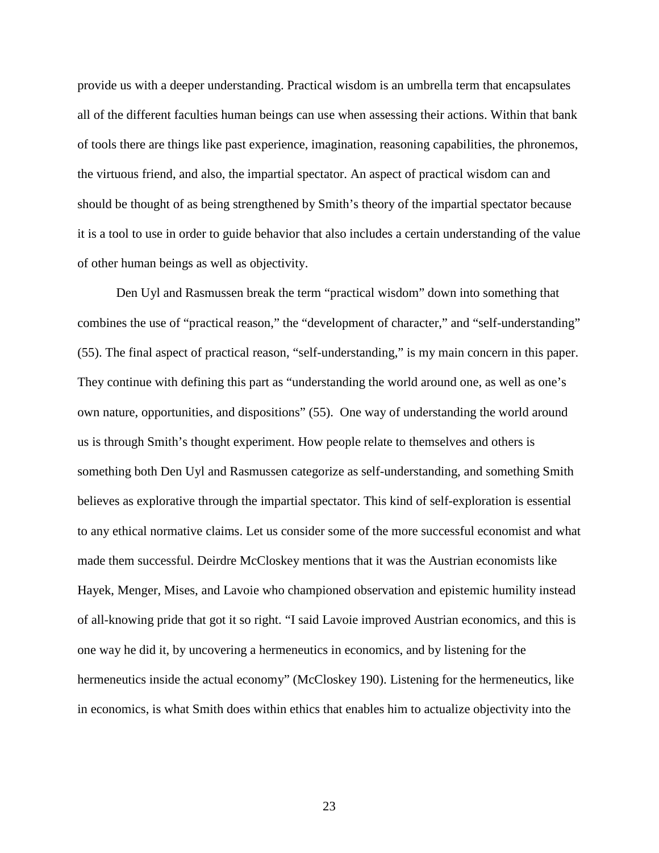provide us with a deeper understanding. Practical wisdom is an umbrella term that encapsulates all of the different faculties human beings can use when assessing their actions. Within that bank of tools there are things like past experience, imagination, reasoning capabilities, the phronemos, the virtuous friend, and also, the impartial spectator. An aspect of practical wisdom can and should be thought of as being strengthened by Smith's theory of the impartial spectator because it is a tool to use in order to guide behavior that also includes a certain understanding of the value of other human beings as well as objectivity.

Den Uyl and Rasmussen break the term "practical wisdom" down into something that combines the use of "practical reason," the "development of character," and "self-understanding" (55). The final aspect of practical reason, "self-understanding," is my main concern in this paper. They continue with defining this part as "understanding the world around one, as well as one's own nature, opportunities, and dispositions" (55). One way of understanding the world around us is through Smith's thought experiment. How people relate to themselves and others is something both Den Uyl and Rasmussen categorize as self-understanding, and something Smith believes as explorative through the impartial spectator. This kind of self-exploration is essential to any ethical normative claims. Let us consider some of the more successful economist and what made them successful. Deirdre McCloskey mentions that it was the Austrian economists like Hayek, Menger, Mises, and Lavoie who championed observation and epistemic humility instead of all-knowing pride that got it so right. "I said Lavoie improved Austrian economics, and this is one way he did it, by uncovering a hermeneutics in economics, and by listening for the hermeneutics inside the actual economy" (McCloskey 190). Listening for the hermeneutics, like in economics, is what Smith does within ethics that enables him to actualize objectivity into the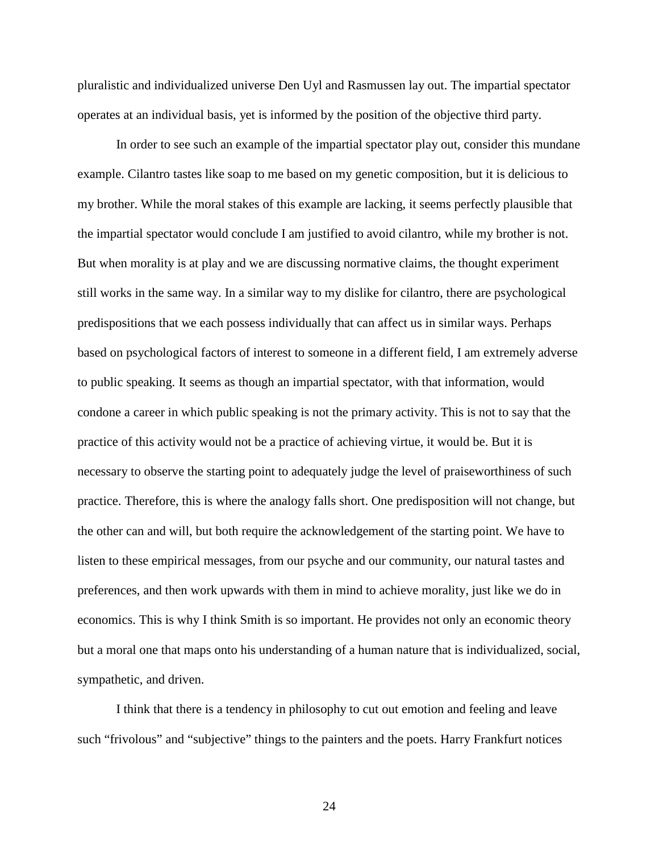pluralistic and individualized universe Den Uyl and Rasmussen lay out. The impartial spectator operates at an individual basis, yet is informed by the position of the objective third party.

In order to see such an example of the impartial spectator play out, consider this mundane example. Cilantro tastes like soap to me based on my genetic composition, but it is delicious to my brother. While the moral stakes of this example are lacking, it seems perfectly plausible that the impartial spectator would conclude I am justified to avoid cilantro, while my brother is not. But when morality is at play and we are discussing normative claims, the thought experiment still works in the same way. In a similar way to my dislike for cilantro, there are psychological predispositions that we each possess individually that can affect us in similar ways. Perhaps based on psychological factors of interest to someone in a different field, I am extremely adverse to public speaking. It seems as though an impartial spectator, with that information, would condone a career in which public speaking is not the primary activity. This is not to say that the practice of this activity would not be a practice of achieving virtue, it would be. But it is necessary to observe the starting point to adequately judge the level of praiseworthiness of such practice. Therefore, this is where the analogy falls short. One predisposition will not change, but the other can and will, but both require the acknowledgement of the starting point. We have to listen to these empirical messages, from our psyche and our community, our natural tastes and preferences, and then work upwards with them in mind to achieve morality, just like we do in economics. This is why I think Smith is so important. He provides not only an economic theory but a moral one that maps onto his understanding of a human nature that is individualized, social, sympathetic, and driven.

I think that there is a tendency in philosophy to cut out emotion and feeling and leave such "frivolous" and "subjective" things to the painters and the poets. Harry Frankfurt notices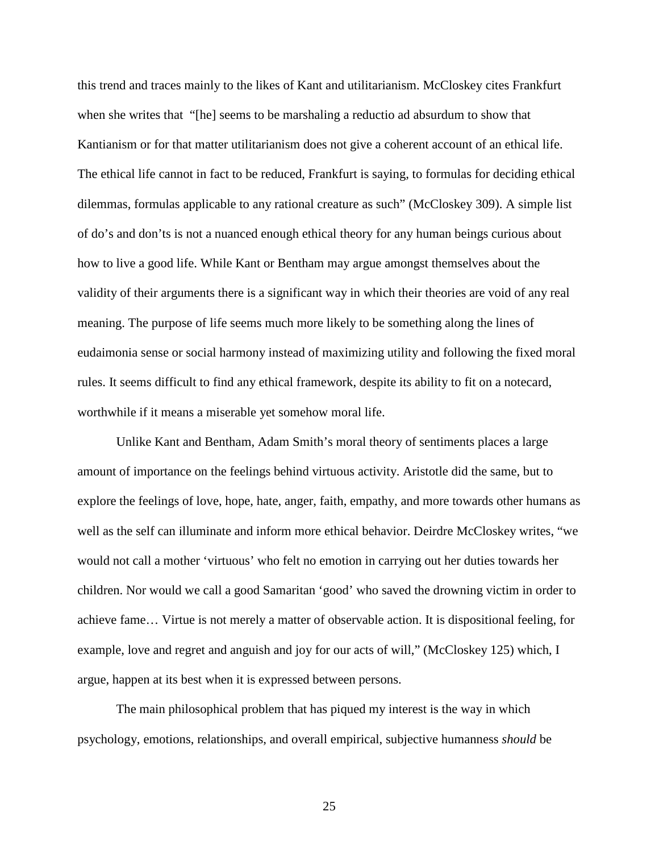this trend and traces mainly to the likes of Kant and utilitarianism. McCloskey cites Frankfurt when she writes that "[he] seems to be marshaling a reductio ad absurdum to show that Kantianism or for that matter utilitarianism does not give a coherent account of an ethical life. The ethical life cannot in fact to be reduced, Frankfurt is saying, to formulas for deciding ethical dilemmas, formulas applicable to any rational creature as such" (McCloskey 309). A simple list of do's and don'ts is not a nuanced enough ethical theory for any human beings curious about how to live a good life. While Kant or Bentham may argue amongst themselves about the validity of their arguments there is a significant way in which their theories are void of any real meaning. The purpose of life seems much more likely to be something along the lines of eudaimonia sense or social harmony instead of maximizing utility and following the fixed moral rules. It seems difficult to find any ethical framework, despite its ability to fit on a notecard, worthwhile if it means a miserable yet somehow moral life.

Unlike Kant and Bentham, Adam Smith's moral theory of sentiments places a large amount of importance on the feelings behind virtuous activity. Aristotle did the same, but to explore the feelings of love, hope, hate, anger, faith, empathy, and more towards other humans as well as the self can illuminate and inform more ethical behavior. Deirdre McCloskey writes, "we would not call a mother 'virtuous' who felt no emotion in carrying out her duties towards her children. Nor would we call a good Samaritan 'good' who saved the drowning victim in order to achieve fame… Virtue is not merely a matter of observable action. It is dispositional feeling, for example, love and regret and anguish and joy for our acts of will," (McCloskey 125) which, I argue, happen at its best when it is expressed between persons.

The main philosophical problem that has piqued my interest is the way in which psychology, emotions, relationships, and overall empirical, subjective humanness *should* be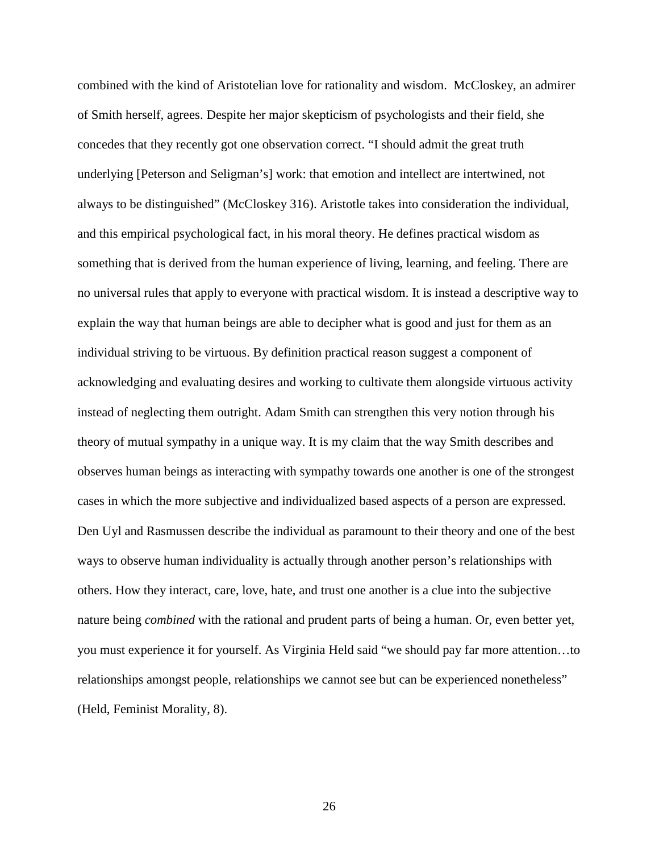combined with the kind of Aristotelian love for rationality and wisdom. McCloskey, an admirer of Smith herself, agrees. Despite her major skepticism of psychologists and their field, she concedes that they recently got one observation correct. "I should admit the great truth underlying [Peterson and Seligman's] work: that emotion and intellect are intertwined, not always to be distinguished" (McCloskey 316). Aristotle takes into consideration the individual, and this empirical psychological fact, in his moral theory. He defines practical wisdom as something that is derived from the human experience of living, learning, and feeling. There are no universal rules that apply to everyone with practical wisdom. It is instead a descriptive way to explain the way that human beings are able to decipher what is good and just for them as an individual striving to be virtuous. By definition practical reason suggest a component of acknowledging and evaluating desires and working to cultivate them alongside virtuous activity instead of neglecting them outright. Adam Smith can strengthen this very notion through his theory of mutual sympathy in a unique way. It is my claim that the way Smith describes and observes human beings as interacting with sympathy towards one another is one of the strongest cases in which the more subjective and individualized based aspects of a person are expressed. Den Uyl and Rasmussen describe the individual as paramount to their theory and one of the best ways to observe human individuality is actually through another person's relationships with others. How they interact, care, love, hate, and trust one another is a clue into the subjective nature being *combined* with the rational and prudent parts of being a human. Or, even better yet, you must experience it for yourself. As Virginia Held said "we should pay far more attention…to relationships amongst people, relationships we cannot see but can be experienced nonetheless" (Held, Feminist Morality, 8).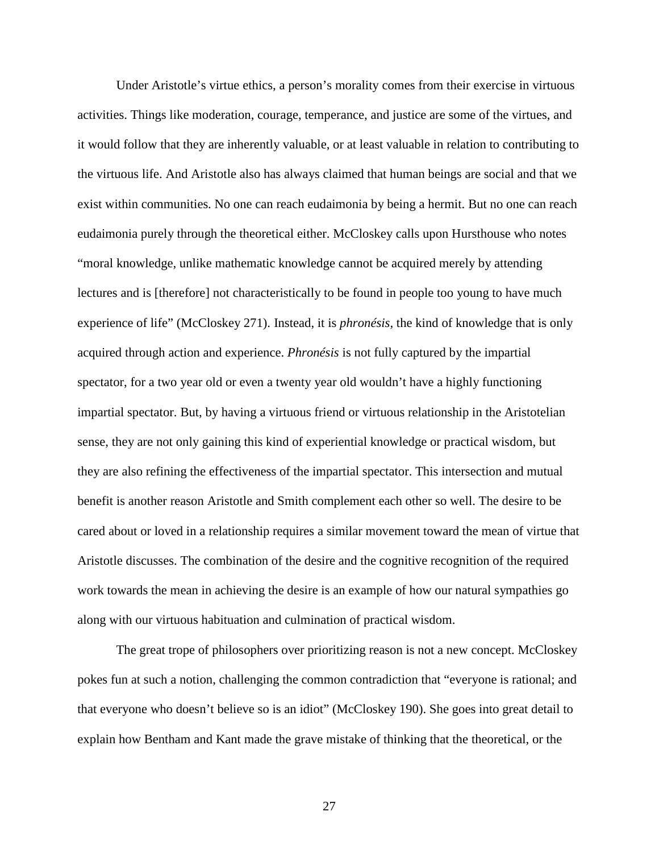Under Aristotle's virtue ethics, a person's morality comes from their exercise in virtuous activities. Things like moderation, courage, temperance, and justice are some of the virtues, and it would follow that they are inherently valuable, or at least valuable in relation to contributing to the virtuous life. And Aristotle also has always claimed that human beings are social and that we exist within communities. No one can reach eudaimonia by being a hermit. But no one can reach eudaimonia purely through the theoretical either. McCloskey calls upon Hursthouse who notes "moral knowledge, unlike mathematic knowledge cannot be acquired merely by attending lectures and is [therefore] not characteristically to be found in people too young to have much experience of life" (McCloskey 271). Instead, it is *phronésis,* the kind of knowledge that is only acquired through action and experience. *Phronésis* is not fully captured by the impartial spectator, for a two year old or even a twenty year old wouldn't have a highly functioning impartial spectator. But, by having a virtuous friend or virtuous relationship in the Aristotelian sense, they are not only gaining this kind of experiential knowledge or practical wisdom, but they are also refining the effectiveness of the impartial spectator. This intersection and mutual benefit is another reason Aristotle and Smith complement each other so well. The desire to be cared about or loved in a relationship requires a similar movement toward the mean of virtue that Aristotle discusses. The combination of the desire and the cognitive recognition of the required work towards the mean in achieving the desire is an example of how our natural sympathies go along with our virtuous habituation and culmination of practical wisdom.

The great trope of philosophers over prioritizing reason is not a new concept. McCloskey pokes fun at such a notion, challenging the common contradiction that "everyone is rational; and that everyone who doesn't believe so is an idiot" (McCloskey 190). She goes into great detail to explain how Bentham and Kant made the grave mistake of thinking that the theoretical, or the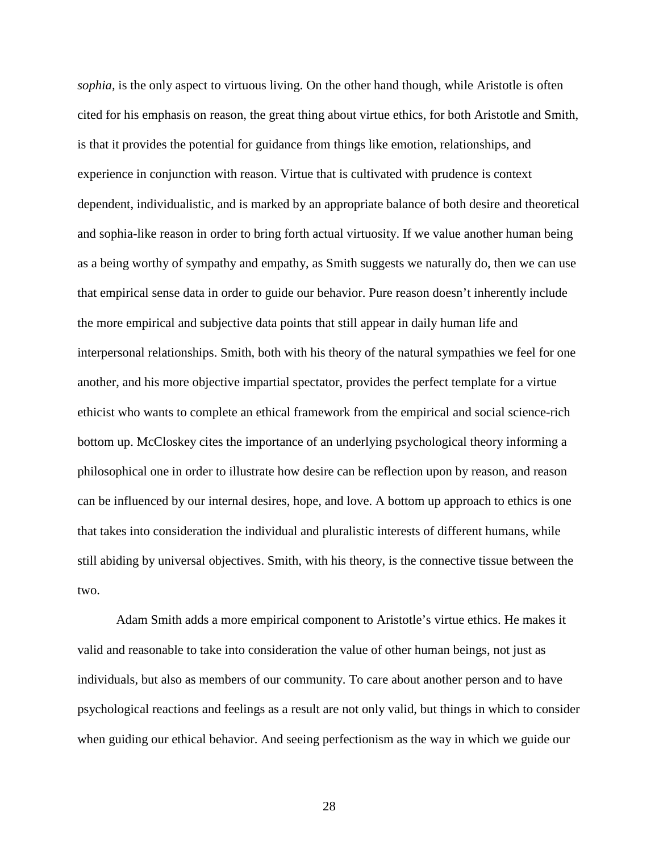*sophia*, is the only aspect to virtuous living. On the other hand though, while Aristotle is often cited for his emphasis on reason, the great thing about virtue ethics, for both Aristotle and Smith, is that it provides the potential for guidance from things like emotion, relationships, and experience in conjunction with reason. Virtue that is cultivated with prudence is context dependent, individualistic, and is marked by an appropriate balance of both desire and theoretical and sophia-like reason in order to bring forth actual virtuosity. If we value another human being as a being worthy of sympathy and empathy, as Smith suggests we naturally do, then we can use that empirical sense data in order to guide our behavior. Pure reason doesn't inherently include the more empirical and subjective data points that still appear in daily human life and interpersonal relationships. Smith, both with his theory of the natural sympathies we feel for one another, and his more objective impartial spectator, provides the perfect template for a virtue ethicist who wants to complete an ethical framework from the empirical and social science-rich bottom up. McCloskey cites the importance of an underlying psychological theory informing a philosophical one in order to illustrate how desire can be reflection upon by reason, and reason can be influenced by our internal desires, hope, and love. A bottom up approach to ethics is one that takes into consideration the individual and pluralistic interests of different humans, while still abiding by universal objectives. Smith, with his theory, is the connective tissue between the two.

Adam Smith adds a more empirical component to Aristotle's virtue ethics. He makes it valid and reasonable to take into consideration the value of other human beings, not just as individuals, but also as members of our community. To care about another person and to have psychological reactions and feelings as a result are not only valid, but things in which to consider when guiding our ethical behavior. And seeing perfectionism as the way in which we guide our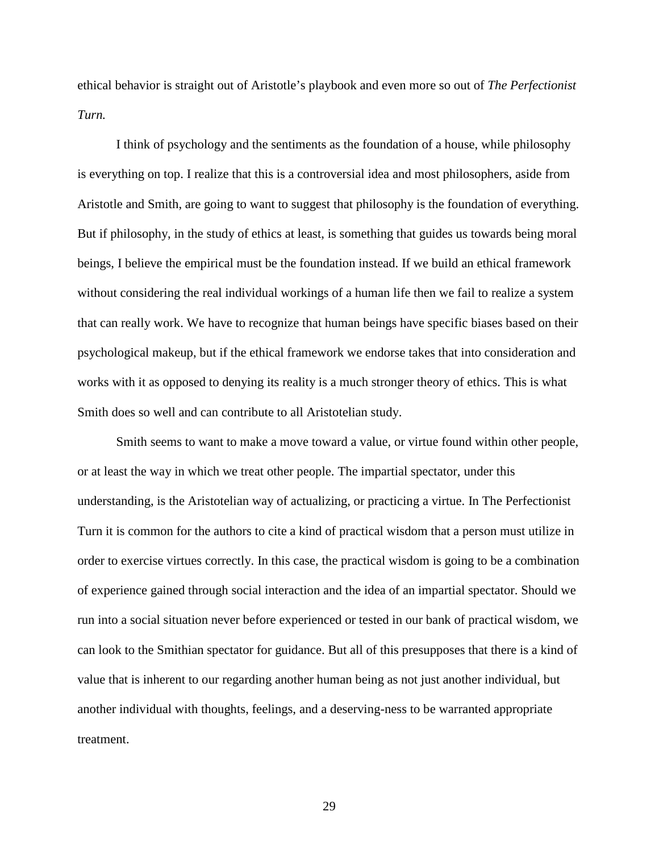ethical behavior is straight out of Aristotle's playbook and even more so out of *The Perfectionist Turn.*

I think of psychology and the sentiments as the foundation of a house, while philosophy is everything on top. I realize that this is a controversial idea and most philosophers, aside from Aristotle and Smith, are going to want to suggest that philosophy is the foundation of everything. But if philosophy, in the study of ethics at least, is something that guides us towards being moral beings, I believe the empirical must be the foundation instead. If we build an ethical framework without considering the real individual workings of a human life then we fail to realize a system that can really work. We have to recognize that human beings have specific biases based on their psychological makeup, but if the ethical framework we endorse takes that into consideration and works with it as opposed to denying its reality is a much stronger theory of ethics. This is what Smith does so well and can contribute to all Aristotelian study.

Smith seems to want to make a move toward a value, or virtue found within other people, or at least the way in which we treat other people. The impartial spectator, under this understanding, is the Aristotelian way of actualizing, or practicing a virtue. In The Perfectionist Turn it is common for the authors to cite a kind of practical wisdom that a person must utilize in order to exercise virtues correctly. In this case, the practical wisdom is going to be a combination of experience gained through social interaction and the idea of an impartial spectator. Should we run into a social situation never before experienced or tested in our bank of practical wisdom, we can look to the Smithian spectator for guidance. But all of this presupposes that there is a kind of value that is inherent to our regarding another human being as not just another individual, but another individual with thoughts, feelings, and a deserving-ness to be warranted appropriate treatment.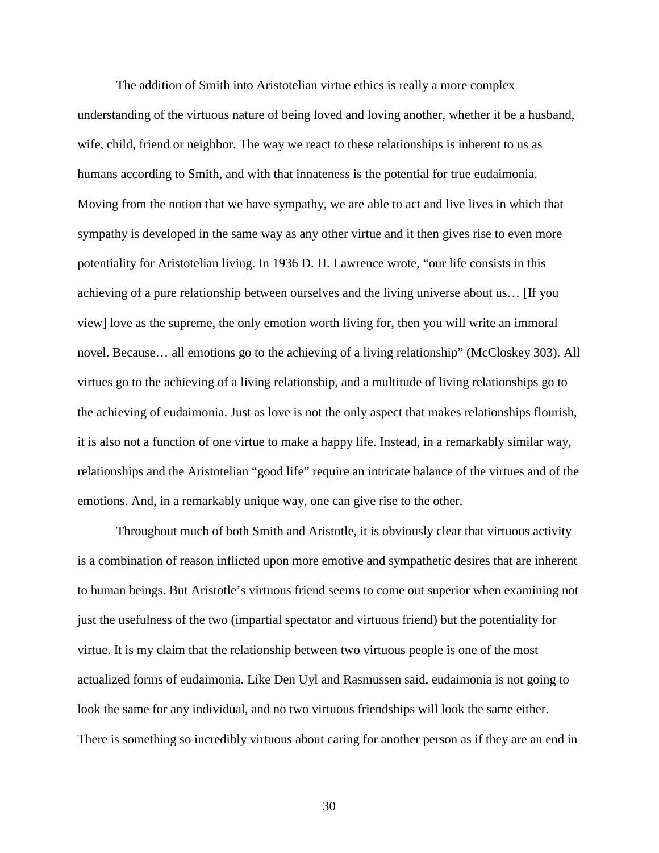The addition of Smith into Aristotelian virtue ethics is really a more complex understanding of the virtuous nature of being loved and loving another, whether it be a husband, wife, child, friend or neighbor. The way we react to these relationships is inherent to us as humans according to Smith, and with that innateness is the potential for true eudaimonia. Moving from the notion that we have sympathy, we are able to act and live lives in which that sympathy is developed in the same way as any other virtue and it then gives rise to even more potentiality for Aristotelian living. In 1936 D. H. Lawrence wrote, "our life consists in this achieving of a pure relationship between ourselves and the living universe about us… [If you view] love as the supreme, the only emotion worth living for, then you will write an immoral novel. Because… all emotions go to the achieving of a living relationship" (McCloskey 303). All virtues go to the achieving of a living relationship, and a multitude of living relationships go to the achieving of eudaimonia. Just as love is not the only aspect that makes relationships flourish, it is also not a function of one virtue to make a happy life. Instead, in a remarkably similar way, relationships and the Aristotelian "good life" require an intricate balance of the virtues and of the emotions. And, in a remarkably unique way, one can give rise to the other.

Throughout much of both Smith and Aristotle, it is obviously clear that virtuous activity is a combination of reason inflicted upon more emotive and sympathetic desires that are inherent to human beings. But Aristotle's virtuous friend seems to come out superior when examining not just the usefulness of the two (impartial spectator and virtuous friend) but the potentiality for virtue. It is my claim that the relationship between two virtuous people is one of the most actualized forms of eudaimonia. Like Den Uyl and Rasmussen said, eudaimonia is not going to look the same for any individual, and no two virtuous friendships will look the same either. There is something so incredibly virtuous about caring for another person as if they are an end in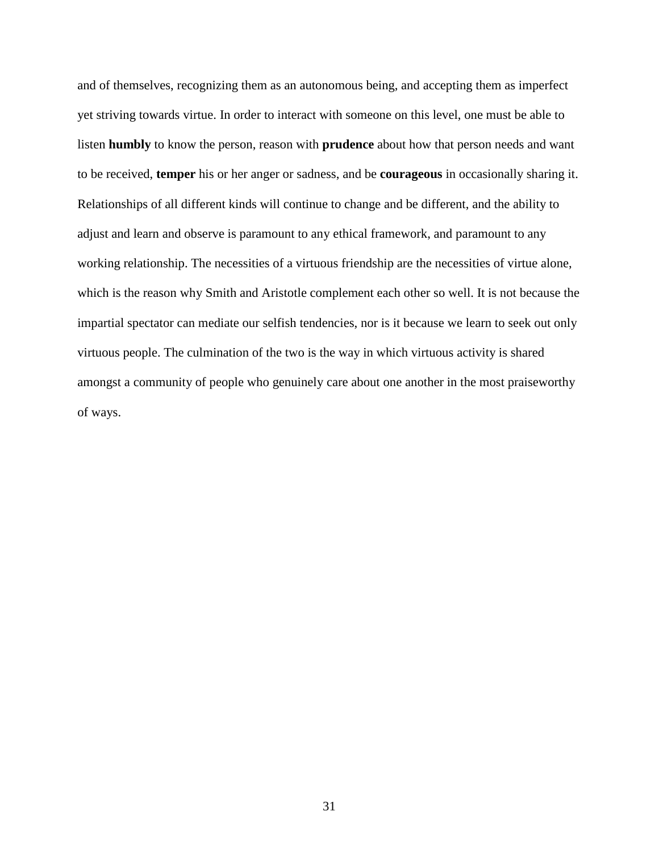and of themselves, recognizing them as an autonomous being, and accepting them as imperfect yet striving towards virtue. In order to interact with someone on this level, one must be able to listen **humbly** to know the person, reason with **prudence** about how that person needs and want to be received, **temper** his or her anger or sadness, and be **courageous** in occasionally sharing it. Relationships of all different kinds will continue to change and be different, and the ability to adjust and learn and observe is paramount to any ethical framework, and paramount to any working relationship. The necessities of a virtuous friendship are the necessities of virtue alone, which is the reason why Smith and Aristotle complement each other so well. It is not because the impartial spectator can mediate our selfish tendencies, nor is it because we learn to seek out only virtuous people. The culmination of the two is the way in which virtuous activity is shared amongst a community of people who genuinely care about one another in the most praiseworthy of ways.